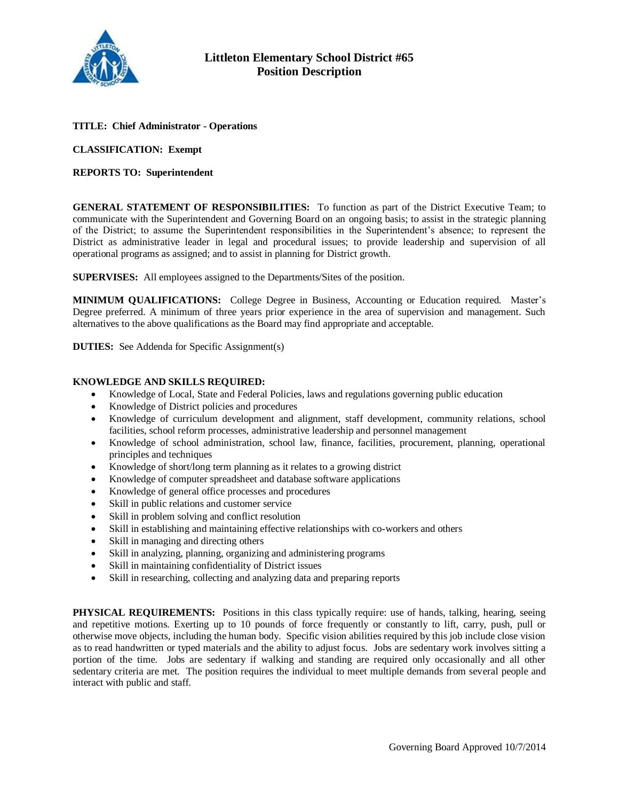

## **TITLE: Chief Administrator - Operations**

**CLASSIFICATION: Exempt**

## **REPORTS TO: Superintendent**

**GENERAL STATEMENT OF RESPONSIBILITIES:** To function as part of the District Executive Team; to communicate with the Superintendent and Governing Board on an ongoing basis; to assist in the strategic planning of the District; to assume the Superintendent responsibilities in the Superintendent's absence; to represent the District as administrative leader in legal and procedural issues; to provide leadership and supervision of all operational programs as assigned; and to assist in planning for District growth.

**SUPERVISES:** All employees assigned to the Departments/Sites of the position.

**MINIMUM QUALIFICATIONS:** College Degree in Business, Accounting or Education required. Master's Degree preferred. A minimum of three years prior experience in the area of supervision and management. Such alternatives to the above qualifications as the Board may find appropriate and acceptable.

**DUTIES:** See Addenda for Specific Assignment(s)

## **KNOWLEDGE AND SKILLS REQUIRED:**

- Knowledge of Local, State and Federal Policies, laws and regulations governing public education
- Knowledge of District policies and procedures
- Knowledge of curriculum development and alignment, staff development, community relations, school facilities, school reform processes, administrative leadership and personnel management
- Knowledge of school administration, school law, finance, facilities, procurement, planning, operational principles and techniques
- Knowledge of short/long term planning as it relates to a growing district
- Knowledge of computer spreadsheet and database software applications
- Knowledge of general office processes and procedures
- Skill in public relations and customer service
- Skill in problem solving and conflict resolution
- Skill in establishing and maintaining effective relationships with co-workers and others
- Skill in managing and directing others
- Skill in analyzing, planning, organizing and administering programs
- Skill in maintaining confidentiality of District issues
- Skill in researching, collecting and analyzing data and preparing reports

**PHYSICAL REQUIREMENTS:** Positions in this class typically require: use of hands, talking, hearing, seeing and repetitive motions. Exerting up to 10 pounds of force frequently or constantly to lift, carry, push, pull or otherwise move objects, including the human body. Specific vision abilities required by this job include close vision as to read handwritten or typed materials and the ability to adjust focus. Jobs are sedentary work involves sitting a portion of the time. Jobs are sedentary if walking and standing are required only occasionally and all other sedentary criteria are met. The position requires the individual to meet multiple demands from several people and interact with public and staff.